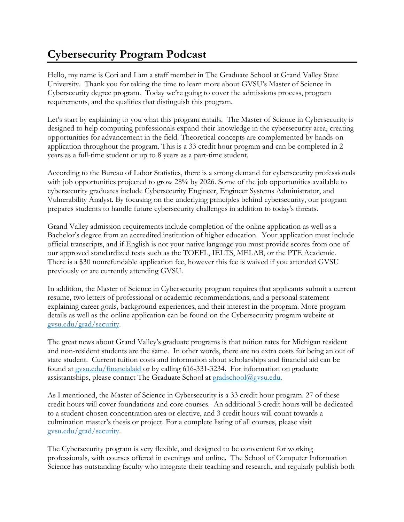## **Cybersecurity Program Podcast**

Hello, my name is Cori and I am a staff member in The Graduate School at Grand Valley State University. Thank you for taking the time to learn more about GVSU's Master of Science in Cybersecurity degree program. Today we're going to cover the admissions process, program requirements, and the qualities that distinguish this program.

Let's start by explaining to you what this program entails. The Master of Science in Cybersecurity is designed to help computing professionals expand their knowledge in the cybersecurity area, creating opportunities for advancement in the field. Theoretical concepts are complemented by hands-on application throughout the program. This is a 33 credit hour program and can be completed in 2 years as a full-time student or up to 8 years as a part-time student.

According to the Bureau of Labor Statistics, there is a strong demand for cybersecurity professionals with job opportunities projected to grow 28% by 2026. Some of the job opportunities available to cybersecurity graduates include Cybersecurity Engineer, Engineer Systems Administrator, and Vulnerability Analyst. By focusing on the underlying principles behind cybersecurity, our program prepares students to handle future cybersecurity challenges in addition to today's threats.

Grand Valley admission requirements include completion of the online application as well as a Bachelor's degree from an accredited institution of higher education. Your application must include official transcripts, and if English is not your native language you must provide scores from one of our approved standardized tests such as the TOEFL, IELTS, MELAB, or the PTE Academic. There is a \$30 nonrefundable application fee, however this fee is waived if you attended GVSU previously or are currently attending GVSU.

In addition, the Master of Science in Cybersecurity program requires that applicants submit a current resume, two letters of professional or academic recommendations, and a personal statement explaining career goals, background experiences, and their interest in the program. More program details as well as the online application can be found on the Cybersecurity program website at [gvsu.edu/grad/security.](http://www.gvsu.edu/grad/security/)

The great news about Grand Valley's graduate programs is that tuition rates for Michigan resident and non-resident students are the same. In other words, there are no extra costs for being an out of state student. Current tuition costs and information about scholarships and financial aid can be found at gysu.edu/financialaid or by calling 616-331-3234. For information on graduate assistantships, please contact The Graduate School at [gradschool@gvsu.edu.](mailto:gradschool@gvsu.edu)

As I mentioned, the Master of Science in Cybersecurity is a 33 credit hour program. 27 of these credit hours will cover foundations and core courses. An additional 3 credit hours will be dedicated to a student-chosen concentration area or elective, and 3 credit hours will count towards a culmination master's thesis or project. For a complete listing of all courses, please visit [gvsu.edu/grad/security.](http://www.gvsu.edu/grad/security/)

The Cybersecurity program is very flexible, and designed to be convenient for working professionals, with courses offered in evenings and online. The School of Computer Information Science has outstanding faculty who integrate their teaching and research, and regularly publish both